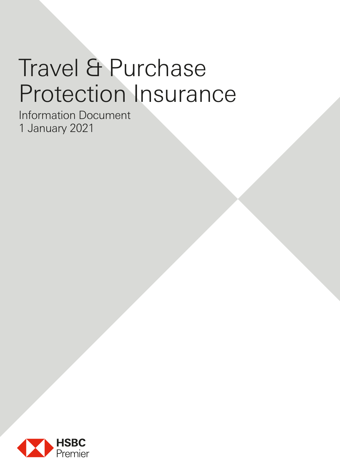# Travel & Purchase Protection Insurance

Information Document 1 January 2021